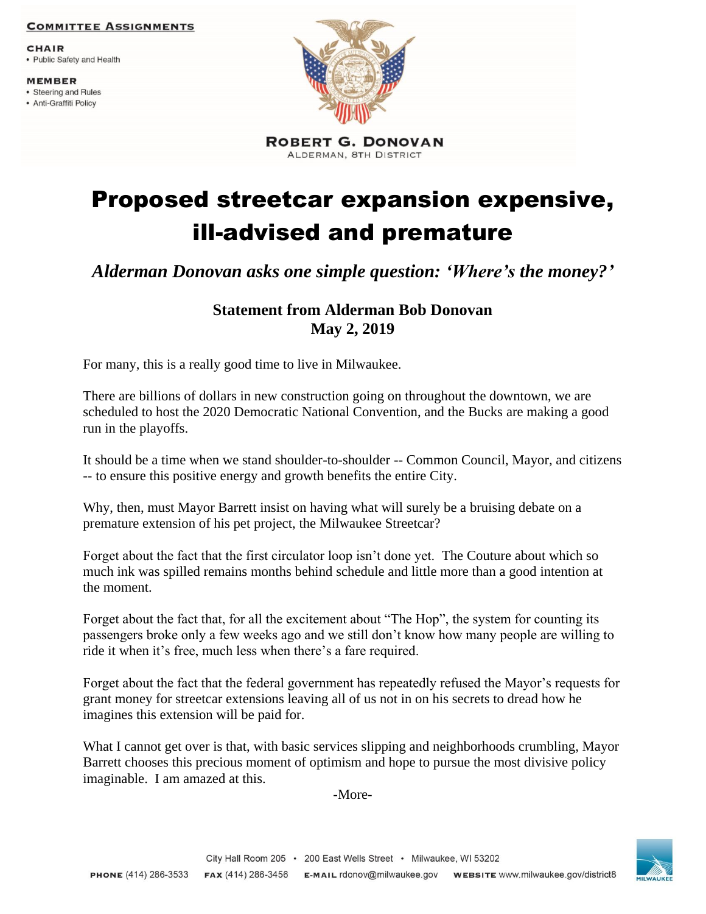## **COMMITTEE ASSIGNMENTS**

**CHAIR** 

• Public Safety and Health

**MEMBER** 

- Steering and Rules
- Anti-Graffiti Policy



**ROBERT G. DONOVAN** ALDERMAN, 8TH DISTRICT

## Proposed streetcar expansion expensive, ill-advised and premature

*Alderman Donovan asks one simple question: 'Where's the money?'*

## **Statement from Alderman Bob Donovan May 2, 2019**

For many, this is a really good time to live in Milwaukee.

There are billions of dollars in new construction going on throughout the downtown, we are scheduled to host the 2020 Democratic National Convention, and the Bucks are making a good run in the playoffs.

It should be a time when we stand shoulder-to-shoulder -- Common Council, Mayor, and citizens -- to ensure this positive energy and growth benefits the entire City.

Why, then, must Mayor Barrett insist on having what will surely be a bruising debate on a premature extension of his pet project, the Milwaukee Streetcar?

Forget about the fact that the first circulator loop isn't done yet. The Couture about which so much ink was spilled remains months behind schedule and little more than a good intention at the moment.

Forget about the fact that, for all the excitement about "The Hop", the system for counting its passengers broke only a few weeks ago and we still don't know how many people are willing to ride it when it's free, much less when there's a fare required.

Forget about the fact that the federal government has repeatedly refused the Mayor's requests for grant money for streetcar extensions leaving all of us not in on his secrets to dread how he imagines this extension will be paid for.

What I cannot get over is that, with basic services slipping and neighborhoods crumbling, Mayor Barrett chooses this precious moment of optimism and hope to pursue the most divisive policy imaginable. I am amazed at this.

-More-